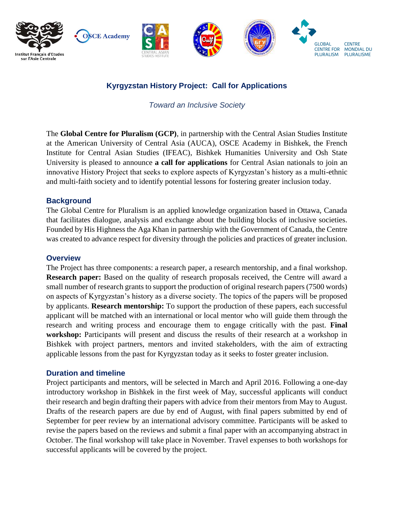

# **Kyrgyzstan History Project: Call for Applications**

*Toward an Inclusive Society*

The **Global Centre for Pluralism (GCP)**, in partnership with the Central Asian Studies Institute at the American University of Central Asia (AUCA), OSCE Academy in Bishkek, the French Institute for Central Asian Studies (IFEAC), Bishkek Humanities University and Osh State University is pleased to announce **a call for applications** for Central Asian nationals to join an innovative History Project that seeks to explore aspects of Kyrgyzstan's history as a multi-ethnic and multi-faith society and to identify potential lessons for fostering greater inclusion today.

### **Background**

The Global Centre for Pluralism is an applied knowledge organization based in Ottawa, Canada that facilitates dialogue, analysis and exchange about the building blocks of inclusive societies. Founded by His Highness the Aga Khan in partnership with the Government of Canada, the Centre was created to advance respect for diversity through the policies and practices of greater inclusion.

#### **Overview**

The Project has three components: a research paper, a research mentorship, and a final workshop. **Research paper:** Based on the quality of research proposals received, the Centre will award a small number of research grants to support the production of original research papers (7500 words) on aspects of Kyrgyzstan's history as a diverse society. The topics of the papers will be proposed by applicants. **Research mentorship:** To support the production of these papers, each successful applicant will be matched with an international or local mentor who will guide them through the research and writing process and encourage them to engage critically with the past. **Final workshop:** Participants will present and discuss the results of their research at a workshop in Bishkek with project partners, mentors and invited stakeholders, with the aim of extracting applicable lessons from the past for Kyrgyzstan today as it seeks to foster greater inclusion.

#### **Duration and timeline**

Project participants and mentors, will be selected in March and April 2016. Following a one-day introductory workshop in Bishkek in the first week of May, successful applicants will conduct their research and begin drafting their papers with advice from their mentors from May to August. Drafts of the research papers are due by end of August, with final papers submitted by end of September for peer review by an international advisory committee. Participants will be asked to revise the papers based on the reviews and submit a final paper with an accompanying abstract in October. The final workshop will take place in November. Travel expenses to both workshops for successful applicants will be covered by the project.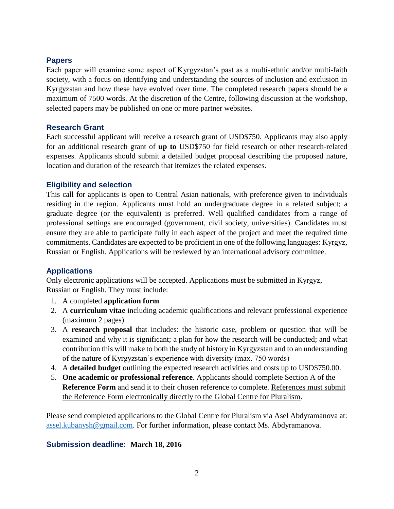#### **Papers**

Each paper will examine some aspect of Kyrgyzstan's past as a multi-ethnic and/or multi-faith society, with a focus on identifying and understanding the sources of inclusion and exclusion in Kyrgyzstan and how these have evolved over time. The completed research papers should be a maximum of 7500 words. At the discretion of the Centre, following discussion at the workshop, selected papers may be published on one or more partner websites.

#### **Research Grant**

Each successful applicant will receive a research grant of USD\$750. Applicants may also apply for an additional research grant of **up to** USD\$750 for field research or other research-related expenses. Applicants should submit a detailed budget proposal describing the proposed nature, location and duration of the research that itemizes the related expenses.

### **Eligibility and selection**

This call for applicants is open to Central Asian nationals, with preference given to individuals residing in the region. Applicants must hold an undergraduate degree in a related subject; a graduate degree (or the equivalent) is preferred. Well qualified candidates from a range of professional settings are encouraged (government, civil society, universities). Candidates must ensure they are able to participate fully in each aspect of the project and meet the required time commitments. Candidates are expected to be proficient in one of the following languages: Kyrgyz, Russian or English. Applications will be reviewed by an international advisory committee.

### **Applications**

Only electronic applications will be accepted. Applications must be submitted in Kyrgyz, Russian or English. They must include:

- 1. A completed **application form**
- 2. A **curriculum vitae** including academic qualifications and relevant professional experience (maximum 2 pages)
- 3. A **research proposal** that includes: the historic case, problem or question that will be examined and why it is significant; a plan for how the research will be conducted; and what contribution this will make to both the study of history in Kyrgyzstan and to an understanding of the nature of Kyrgyzstan's experience with diversity (max. 750 words)
- 4. A **detailed budget** outlining the expected research activities and costs up to USD\$750.00.
- 5. **One academic or professional reference**. Applicants should complete Section A of the **Reference Form** and send it to their chosen reference to complete. References must submit the Reference Form electronically directly to the Global Centre for Pluralism.

Please send completed applications to the Global Centre for Pluralism via Asel Abdyramanova at: [assel.kubanysh@gmail.com.](mailto:assel.kubanysh@gmail.com) For further information, please contact Ms. Abdyramanova.

### **Submission deadline: March 18, 2016**